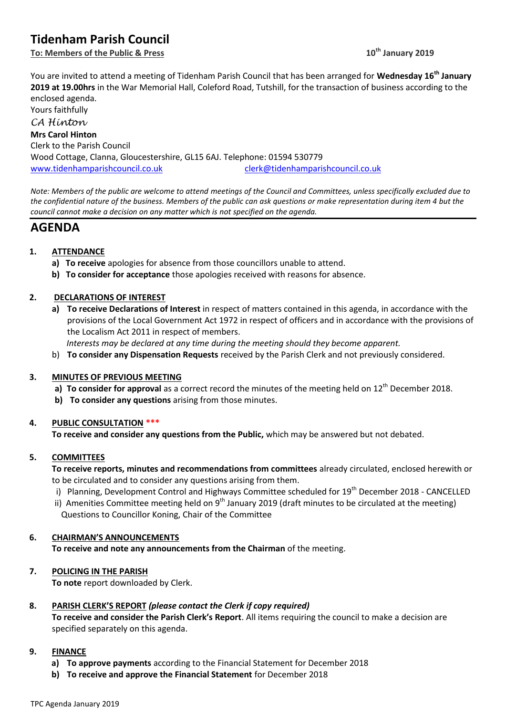# **Tidenham Parish Council**

**To: Members of the Public & Press 10th January 2019**

You are invited to attend a meeting of Tidenham Parish Council that has been arranged for **Wednesday 16th January 2019 at 19.00hrs** in the War Memorial Hall, Coleford Road, Tutshill, for the transaction of business according to the enclosed agenda.

Yours faithfully *CA Hinton* **Mrs Carol Hinton** Clerk to the Parish Council Wood Cottage, Clanna, Gloucestershire, GL15 6AJ. Telephone: 01594 530779 [www.tidenhamparishcouncil.co.uk](http://www.tidenhamparishcouncil.co.uk/) [clerk@tidenhamparishcouncil.co.uk](mailto:clerk@tidenhamparishcouncil.co.uk)

*Note: Members of the public are welcome to attend meetings of the Council and Committees, unless specifically excluded due to the confidential nature of the business. Members of the public can ask questions or make representation during item 4 but the council cannot make a decision on any matter which is not specified on the agenda.*

## **AGENDA**

## **1. ATTENDANCE**

- **a) To receive** apologies for absence from those councillors unable to attend.
- **b) To consider for acceptance** those apologies received with reasons for absence.

## **2. DECLARATIONS OF INTEREST**

- **a) To receive Declarations of Interest** in respect of matters contained in this agenda, in accordance with the provisions of the Local Government Act 1972 in respect of officers and in accordance with the provisions of the Localism Act 2011 in respect of members.
	- *Interests may be declared at any time during the meeting should they become apparent.*
- b) **To consider any Dispensation Requests** received by the Parish Clerk and not previously considered.

## **3. MINUTES OF PREVIOUS MEETING**

- a) **To consider for approval** as a correct record the minutes of the meeting held on 12<sup>th</sup> December 2018.
- **b) To consider any questions** arising from those minutes.

## **4. PUBLIC CONSULTATION \*\*\***

**To receive and consider any questions from the Public,** which may be answered but not debated.

## **5. COMMITTEES**

**To receive reports, minutes and recommendations from committees** already circulated, enclosed herewith or to be circulated and to consider any questions arising from them.

- i) Planning, Development Control and Highways Committee scheduled for 19<sup>th</sup> December 2018 CANCELLED
- ii) Amenities Committee meeting held on  $9<sup>th</sup>$  January 2019 (draft minutes to be circulated at the meeting) Questions to Councillor Koning, Chair of the Committee

## **6. CHAIRMAN'S ANNOUNCEMENTS**

**To receive and note any announcements from the Chairman** of the meeting.

## **7. POLICING IN THE PARISH**

**To note** report downloaded by Clerk.

## **8. PARISH CLERK'S REPORT** *(please contact the Clerk if copy required)*

**To receive and consider the Parish Clerk's Report**. All items requiring the council to make a decision are specified separately on this agenda.

#### **9. FINANCE**

- **a) To approve payments** according to the Financial Statement for December 2018
- **b) To receive and approve the Financial Statement** for December 2018